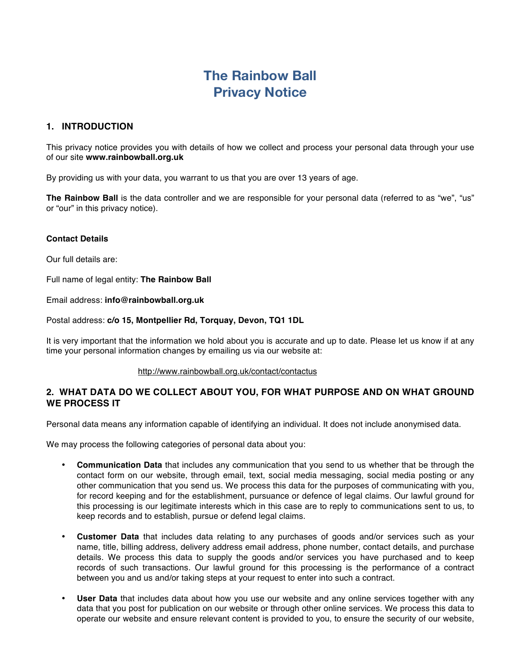# **The Rainbow Ball Privacy Notice**

## **1. INTRODUCTION**

This privacy notice provides you with details of how we collect and process your personal data through your use of our site **www.rainbowball.org.uk**

By providing us with your data, you warrant to us that you are over 13 years of age.

**The Rainbow Ball** is the data controller and we are responsible for your personal data (referred to as "we", "us" or "our" in this privacy notice).

#### **Contact Details**

Our full details are:

Full name of legal entity: **The Rainbow Ball**

Email address: **info@rainbowball.org.uk**

#### Postal address: **c/o 15, Montpellier Rd, Torquay, Devon, TQ1 1DL**

It is very important that the information we hold about you is accurate and up to date. Please let us know if at any time your personal information changes by emailing us via our website at:

#### http://www.rainbowball.org.uk/contact/contactus

# **2. WHAT DATA DO WE COLLECT ABOUT YOU, FOR WHAT PURPOSE AND ON WHAT GROUND WE PROCESS IT**

Personal data means any information capable of identifying an individual. It does not include anonymised data.

We may process the following categories of personal data about you:

- **Communication Data** that includes any communication that you send to us whether that be through the contact form on our website, through email, text, social media messaging, social media posting or any other communication that you send us. We process this data for the purposes of communicating with you, for record keeping and for the establishment, pursuance or defence of legal claims. Our lawful ground for this processing is our legitimate interests which in this case are to reply to communications sent to us, to keep records and to establish, pursue or defend legal claims.
- **Customer Data** that includes data relating to any purchases of goods and/or services such as your name, title, billing address, delivery address email address, phone number, contact details, and purchase details. We process this data to supply the goods and/or services you have purchased and to keep records of such transactions. Our lawful ground for this processing is the performance of a contract between you and us and/or taking steps at your request to enter into such a contract.
- **User Data** that includes data about how you use our website and any online services together with any data that you post for publication on our website or through other online services. We process this data to operate our website and ensure relevant content is provided to you, to ensure the security of our website,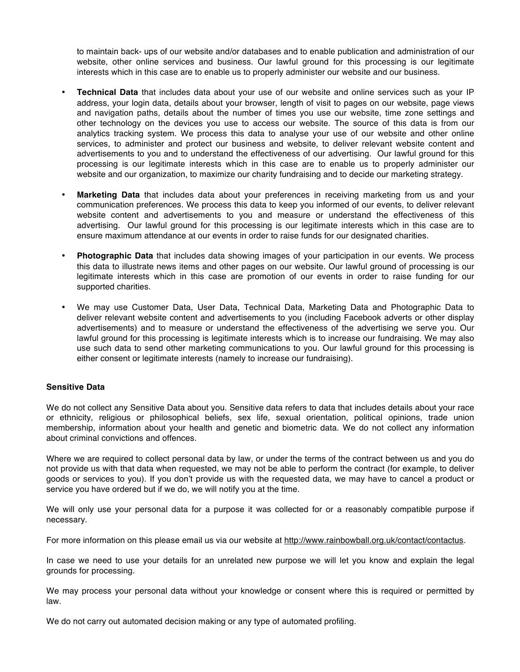to maintain back- ups of our website and/or databases and to enable publication and administration of our website, other online services and business. Our lawful ground for this processing is our legitimate interests which in this case are to enable us to properly administer our website and our business.

- **Technical Data** that includes data about your use of our website and online services such as your IP address, your login data, details about your browser, length of visit to pages on our website, page views and navigation paths, details about the number of times you use our website, time zone settings and other technology on the devices you use to access our website. The source of this data is from our analytics tracking system. We process this data to analyse your use of our website and other online services, to administer and protect our business and website, to deliver relevant website content and advertisements to you and to understand the effectiveness of our advertising. Our lawful ground for this processing is our legitimate interests which in this case are to enable us to properly administer our website and our organization, to maximize our charity fundraising and to decide our marketing strategy.
- **Marketing Data** that includes data about your preferences in receiving marketing from us and your communication preferences. We process this data to keep you informed of our events, to deliver relevant website content and advertisements to you and measure or understand the effectiveness of this advertising. Our lawful ground for this processing is our legitimate interests which in this case are to ensure maximum attendance at our events in order to raise funds for our designated charities.
- **Photographic Data** that includes data showing images of your participation in our events. We process this data to illustrate news items and other pages on our website. Our lawful ground of processing is our legitimate interests which in this case are promotion of our events in order to raise funding for our supported charities.
- We may use Customer Data, User Data, Technical Data, Marketing Data and Photographic Data to deliver relevant website content and advertisements to you (including Facebook adverts or other display advertisements) and to measure or understand the effectiveness of the advertising we serve you. Our lawful ground for this processing is legitimate interests which is to increase our fundraising. We may also use such data to send other marketing communications to you. Our lawful ground for this processing is either consent or legitimate interests (namely to increase our fundraising).

#### **Sensitive Data**

We do not collect any Sensitive Data about you. Sensitive data refers to data that includes details about your race or ethnicity, religious or philosophical beliefs, sex life, sexual orientation, political opinions, trade union membership, information about your health and genetic and biometric data. We do not collect any information about criminal convictions and offences.

Where we are required to collect personal data by law, or under the terms of the contract between us and you do not provide us with that data when requested, we may not be able to perform the contract (for example, to deliver goods or services to you). If you don't provide us with the requested data, we may have to cancel a product or service you have ordered but if we do, we will notify you at the time.

We will only use your personal data for a purpose it was collected for or a reasonably compatible purpose if necessary.

For more information on this please email us via our website at http://www.rainbowball.org.uk/contact/contactus.

In case we need to use your details for an unrelated new purpose we will let you know and explain the legal grounds for processing.

We may process your personal data without your knowledge or consent where this is required or permitted by law.

We do not carry out automated decision making or any type of automated profiling.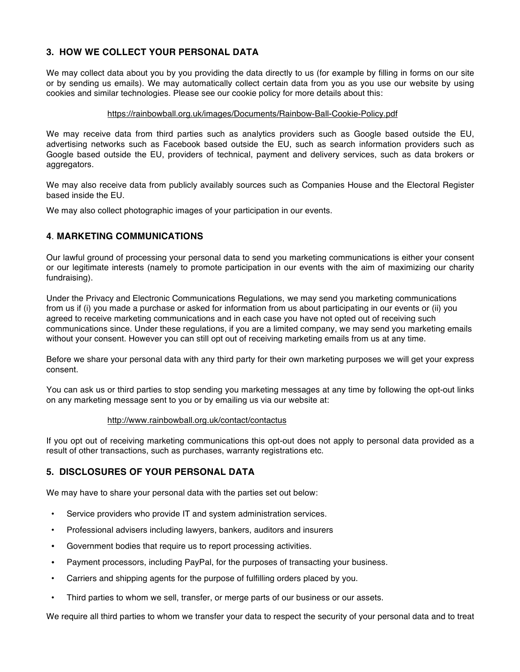# **3. HOW WE COLLECT YOUR PERSONAL DATA**

We may collect data about you by you providing the data directly to us (for example by filling in forms on our site or by sending us emails). We may automatically collect certain data from you as you use our website by using cookies and similar technologies. Please see our cookie policy for more details about this:

#### https://rainbowball.org.uk/images/Documents/Rainbow-Ball-Cookie-Policy.pdf

We may receive data from third parties such as analytics providers such as Google based outside the EU, advertising networks such as Facebook based outside the EU, such as search information providers such as Google based outside the EU, providers of technical, payment and delivery services, such as data brokers or aggregators.

We may also receive data from publicly availably sources such as Companies House and the Electoral Register based inside the EU.

We may also collect photographic images of your participation in our events.

# **4**. **MARKETING COMMUNICATIONS**

Our lawful ground of processing your personal data to send you marketing communications is either your consent or our legitimate interests (namely to promote participation in our events with the aim of maximizing our charity fundraising).

Under the Privacy and Electronic Communications Regulations, we may send you marketing communications from us if (i) you made a purchase or asked for information from us about participating in our events or (ii) you agreed to receive marketing communications and in each case you have not opted out of receiving such communications since. Under these regulations, if you are a limited company, we may send you marketing emails without your consent. However you can still opt out of receiving marketing emails from us at any time.

Before we share your personal data with any third party for their own marketing purposes we will get your express consent.

You can ask us or third parties to stop sending you marketing messages at any time by following the opt-out links on any marketing message sent to you or by emailing us via our website at:

#### http://www.rainbowball.org.uk/contact/contactus

If you opt out of receiving marketing communications this opt-out does not apply to personal data provided as a result of other transactions, such as purchases, warranty registrations etc.

# **5. DISCLOSURES OF YOUR PERSONAL DATA**

We may have to share your personal data with the parties set out below:

- Service providers who provide IT and system administration services.
- Professional advisers including lawyers, bankers, auditors and insurers
- Government bodies that require us to report processing activities.
- Payment processors, including PayPal, for the purposes of transacting your business.
- Carriers and shipping agents for the purpose of fulfilling orders placed by you.
- Third parties to whom we sell, transfer, or merge parts of our business or our assets.

We require all third parties to whom we transfer your data to respect the security of your personal data and to treat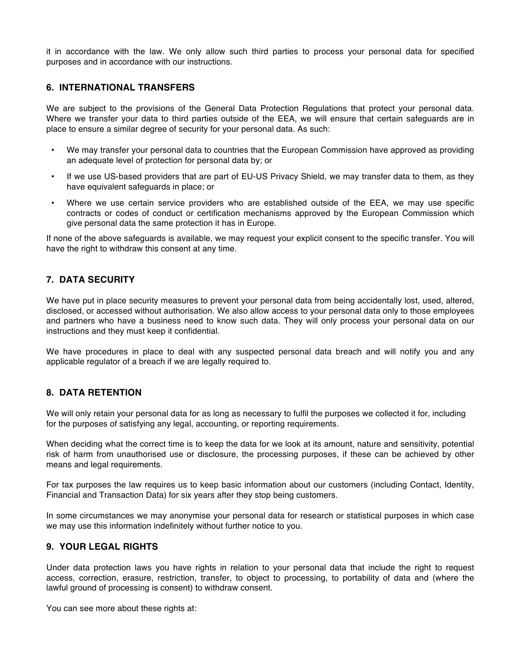it in accordance with the law. We only allow such third parties to process your personal data for specified purposes and in accordance with our instructions.

#### **6. INTERNATIONAL TRANSFERS**

We are subject to the provisions of the General Data Protection Regulations that protect your personal data. Where we transfer your data to third parties outside of the EEA, we will ensure that certain safeguards are in place to ensure a similar degree of security for your personal data. As such:

- We may transfer your personal data to countries that the European Commission have approved as providing an adequate level of protection for personal data by; or
- If we use US-based providers that are part of EU-US Privacy Shield, we may transfer data to them, as they have equivalent safeguards in place; or
- Where we use certain service providers who are established outside of the EEA, we may use specific contracts or codes of conduct or certification mechanisms approved by the European Commission which give personal data the same protection it has in Europe.

If none of the above safeguards is available, we may request your explicit consent to the specific transfer. You will have the right to withdraw this consent at any time.

# **7. DATA SECURITY**

We have put in place security measures to prevent your personal data from being accidentally lost, used, altered, disclosed, or accessed without authorisation. We also allow access to your personal data only to those employees and partners who have a business need to know such data. They will only process your personal data on our instructions and they must keep it confidential.

We have procedures in place to deal with any suspected personal data breach and will notify you and any applicable regulator of a breach if we are legally required to.

## **8. DATA RETENTION**

We will only retain your personal data for as long as necessary to fulfil the purposes we collected it for, including for the purposes of satisfying any legal, accounting, or reporting requirements.

When deciding what the correct time is to keep the data for we look at its amount, nature and sensitivity, potential risk of harm from unauthorised use or disclosure, the processing purposes, if these can be achieved by other means and legal requirements.

For tax purposes the law requires us to keep basic information about our customers (including Contact, Identity, Financial and Transaction Data) for six years after they stop being customers.

In some circumstances we may anonymise your personal data for research or statistical purposes in which case we may use this information indefinitely without further notice to you.

#### **9. YOUR LEGAL RIGHTS**

Under data protection laws you have rights in relation to your personal data that include the right to request access, correction, erasure, restriction, transfer, to object to processing, to portability of data and (where the lawful ground of processing is consent) to withdraw consent.

You can see more about these rights at: